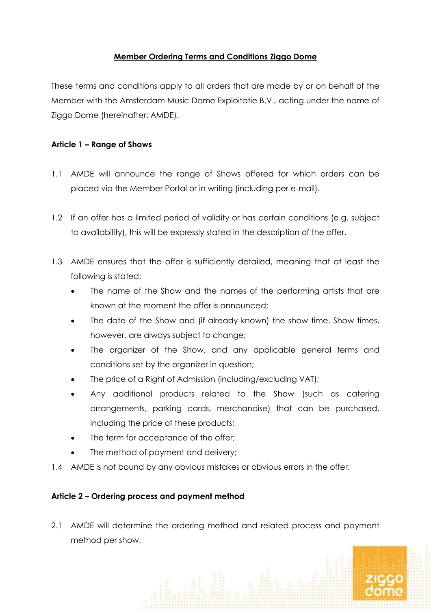## **Member Ordering Terms and Conditions Ziggo Dome**

These terms and conditions apply to all orders that are made by or on behalf of the Member with the Amsterdam Music Dome Exploitatie B.V., acting under the name of Ziggo Dome (hereinafter: AMDE).

### **Article 1 – Range of Shows**

- 1.1 AMDE will announce the range of Shows offered for which orders can be placed via the Member Portal or in writing (including per e-mail).
- 1.2 If an offer has a limited period of validity or has certain conditions (e.g. subject to availability), this will be expressly stated in the description of the offer.
- 1.3 AMDE ensures that the offer is sufficiently detailed, meaning that at least the following is stated:
	- The name of the Show and the names of the performing artists that are known at the moment the offer is announced;
	- The date of the Show and (if already known) the show time. Show times, however, are always subject to change;
	- The organizer of the Show, and any applicable general terms and conditions set by the organizer in question;
	- The price of a Right of Admission (including/excluding VAT);
	- Any additional products related to the Show (such as catering arrangements, parking cards, merchandise) that can be purchased, including the price of these products;
	- The term for acceptance of the offer;
	- The method of payment and delivery;
- 1.4 AMDE is not bound by any obvious mistakes or obvious errors in the offer.

# **Article 2 – Ordering process and payment method**

2.1 AMDE will determine the ordering method and related process and payment method per show.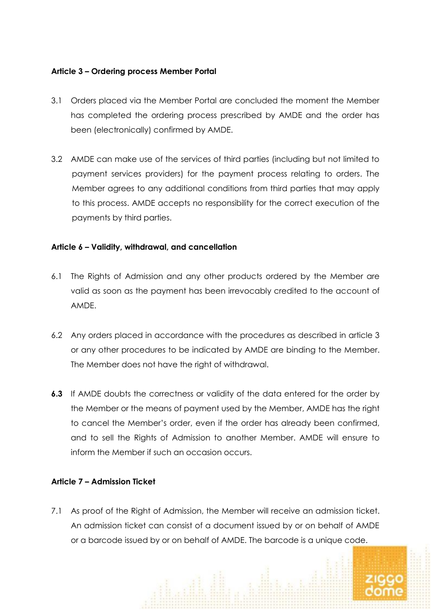### **Article 3 – Ordering process Member Portal**

- 3.1 Orders placed via the Member Portal are concluded the moment the Member has completed the ordering process prescribed by AMDE and the order has been (electronically) confirmed by AMDE.
- 3.2 AMDE can make use of the services of third parties (including but not limited to payment services providers) for the payment process relating to orders. The Member agrees to any additional conditions from third parties that may apply to this process. AMDE accepts no responsibility for the correct execution of the payments by third parties.

### **Article 6 – Validity, withdrawal, and cancellation**

- 6.1 The Rights of Admission and any other products ordered by the Member are valid as soon as the payment has been irrevocably credited to the account of AMDE.
- 6.2 Any orders placed in accordance with the procedures as described in article 3 or any other procedures to be indicated by AMDE are binding to the Member. The Member does not have the right of withdrawal.
- **6.3** If AMDE doubts the correctness or validity of the data entered for the order by the Member or the means of payment used by the Member, AMDE has the right to cancel the Member's order, even if the order has already been confirmed, and to sell the Rights of Admission to another Member. AMDE will ensure to inform the Member if such an occasion occurs.

### **Article 7 – Admission Ticket**

7.1 As proof of the Right of Admission, the Member will receive an admission ticket. An admission ticket can consist of a document issued by or on behalf of AMDE or a barcode issued by or on behalf of AMDE. The barcode is a unique code.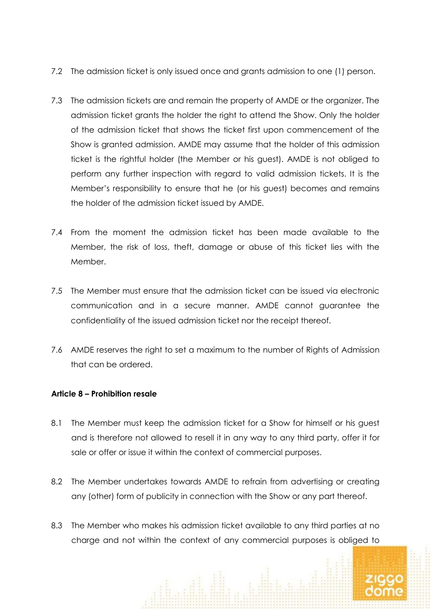- 7.2 The admission ticket is only issued once and grants admission to one (1) person.
- 7.3 The admission tickets are and remain the property of AMDE or the organizer. The admission ticket grants the holder the right to attend the Show. Only the holder of the admission ticket that shows the ticket first upon commencement of the Show is granted admission. AMDE may assume that the holder of this admission ticket is the rightful holder (the Member or his guest). AMDE is not obliged to perform any further inspection with regard to valid admission tickets. It is the Member's responsibility to ensure that he (or his guest) becomes and remains the holder of the admission ticket issued by AMDE.
- 7.4 From the moment the admission ticket has been made available to the Member, the risk of loss, theft, damage or abuse of this ticket lies with the Member.
- 7.5 The Member must ensure that the admission ticket can be issued via electronic communication and in a secure manner. AMDE cannot guarantee the confidentiality of the issued admission ticket nor the receipt thereof.
- 7.6 AMDE reserves the right to set a maximum to the number of Rights of Admission that can be ordered.

### **Article 8 – Prohibition resale**

- 8.1 The Member must keep the admission ticket for a Show for himself or his guest and is therefore not allowed to resell it in any way to any third party, offer it for sale or offer or issue it within the context of commercial purposes.
- 8.2 The Member undertakes towards AMDE to refrain from advertising or creating any (other) form of publicity in connection with the Show or any part thereof.
- 8.3 The Member who makes his admission ticket available to any third parties at no charge and not within the context of any commercial purposes is obliged to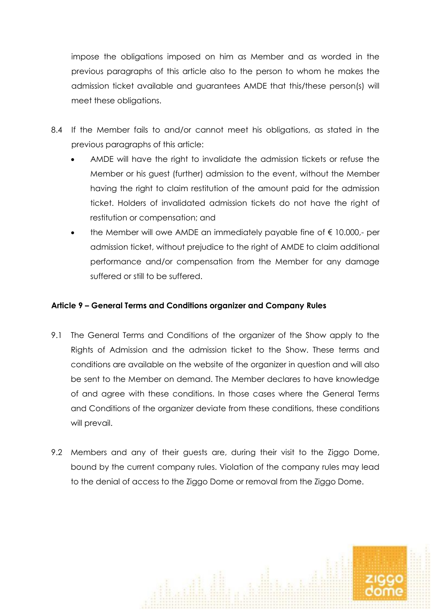impose the obligations imposed on him as Member and as worded in the previous paragraphs of this article also to the person to whom he makes the admission ticket available and guarantees AMDE that this/these person(s) will meet these obligations.

- 8.4 If the Member fails to and/or cannot meet his obligations, as stated in the previous paragraphs of this article:
	- AMDE will have the right to invalidate the admission tickets or refuse the Member or his guest (further) admission to the event, without the Member having the right to claim restitution of the amount paid for the admission ticket. Holders of invalidated admission tickets do not have the right of restitution or compensation; and
	- the Member will owe AMDE an immediately payable fine of  $€ 10.000,$  per admission ticket, without prejudice to the right of AMDE to claim additional performance and/or compensation from the Member for any damage suffered or still to be suffered.

### **Article 9 – General Terms and Conditions organizer and Company Rules**

- 9.1 The General Terms and Conditions of the organizer of the Show apply to the Rights of Admission and the admission ticket to the Show. These terms and conditions are available on the website of the organizer in question and will also be sent to the Member on demand. The Member declares to have knowledge of and agree with these conditions. In those cases where the General Terms and Conditions of the organizer deviate from these conditions, these conditions will prevail.
- 9.2 Members and any of their guests are, during their visit to the Ziggo Dome, bound by the current company rules. Violation of the company rules may lead to the denial of access to the Ziggo Dome or removal from the Ziggo Dome.